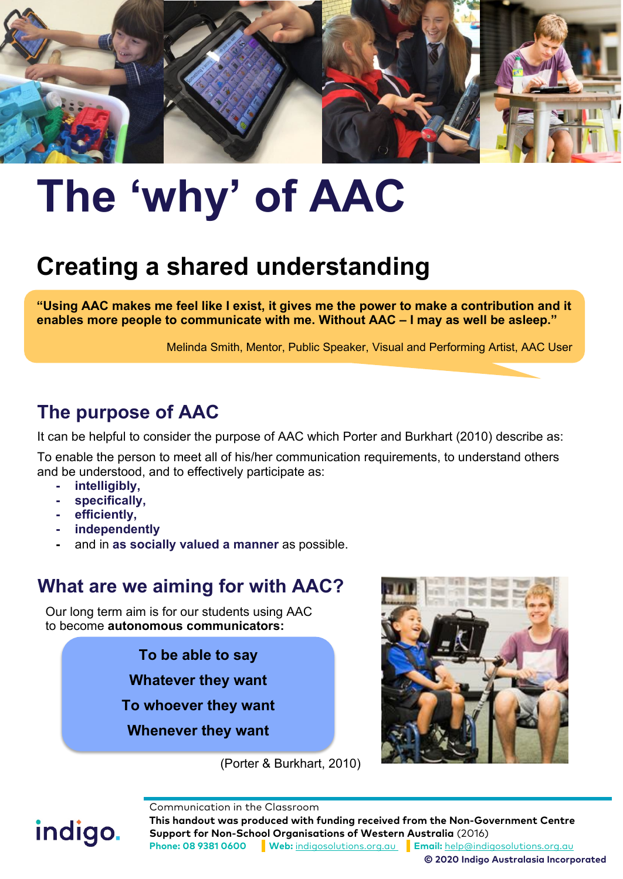

# **The 'why' of AAC**

## **Creating a shared understanding**

**"Using AAC makes me feel like I exist, it gives me the power to make a contribution and it enables more people to communicate with me. Without AAC – I may as well be asleep."**

Melinda Smith, Mentor, Public Speaker, Visual and Performing Artist, AAC User

## **The purpose of AAC**

It can be helpful to consider the purpose of AAC which Porter and Burkhart (2010) describe as:

To enable the person to meet all of his/her communication requirements, to understand others and be understood, and to effectively participate as:

- **- intelligibly,**
- **- specifically,**
- **- efficiently,**

indigo.

- **- independently**
- **-** and in **as socially valued a manner** as possible.

### **What are we aiming for with AAC?**

Our long term aim is for our students using AAC to become **autonomous communicators:**

> **To be able to say Whatever they want To whoever they want Whenever they want**



(Porter & Burkhart, 2010)

Communication in the Classroom

**© 2020 Indigo Australasia Incorporated**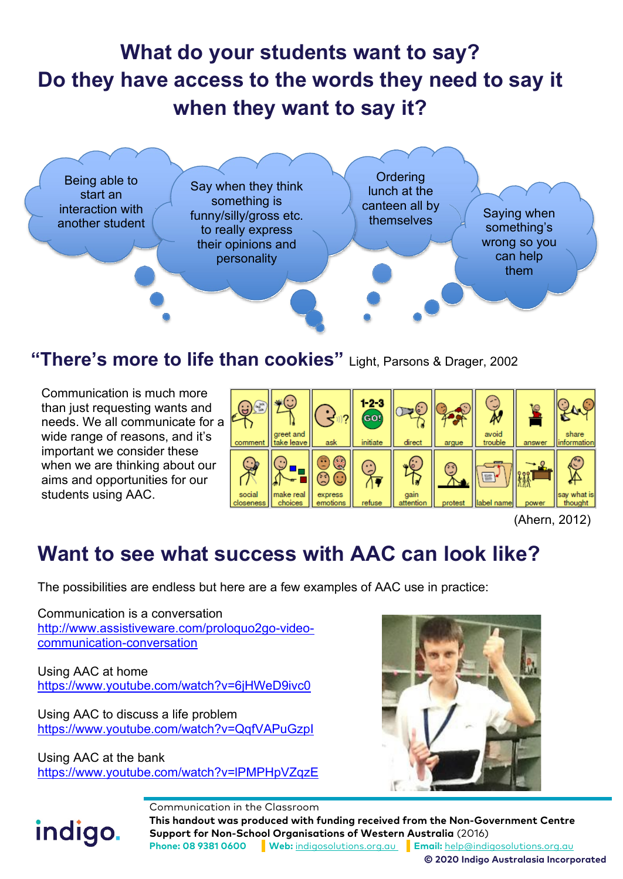# **What do your students want to say? Do they have access to the words they need to say it when they want to say it?**

Being able to start an interaction with another student

Say when they think something is funny/silly/gross etc. to really express their opinions and personality

**Ordering** lunch at the canteen all by

anteen all by Saying when<br>themselves something's wrong so you can help them

## **"There's more to life than cookies"** Light, Parsons & Drager, 2002

Communication is much more than just requesting wants and needs. We all communicate for a wide range of reasons, and it's important we consider these when we are thinking about our aims and opportunities for our students using AAC.



(Ahern, 2012)

## **Want to see what success with AAC can look like?**

The possibilities are endless but here are a few examples of AAC use in practice:

Communication is a conversation [http://www.assistiveware.com/proloquo2go-video](http://www.assistiveware.com/proloquo2go-video-communication-conversation)[communication-conversation](http://www.assistiveware.com/proloquo2go-video-communication-conversation)

#### Using AAC at home <https://www.youtube.com/watch?v=6jHWeD9ivc0>

Using AAC to discuss a life problem <https://www.youtube.com/watch?v=QqfVAPuGzpI>

Using AAC at the bank <https://www.youtube.com/watch?v=lPMPHpVZqzE>

indigo.



Communication in the Classroom

#### **This handout was produced with funding received from the Non-Government Centre Support for Non-School Organisations of Western Australia** (2016) **Phone: 08 9381 0600 Web:** [indigosolutions.org.au](https://www.indigosolutions.org.au/) **Email:** [help@indigosolutions.org.au](mailto:help@indigosolutions.org.au)

**© 2020 Indigo Australasia Incorporated**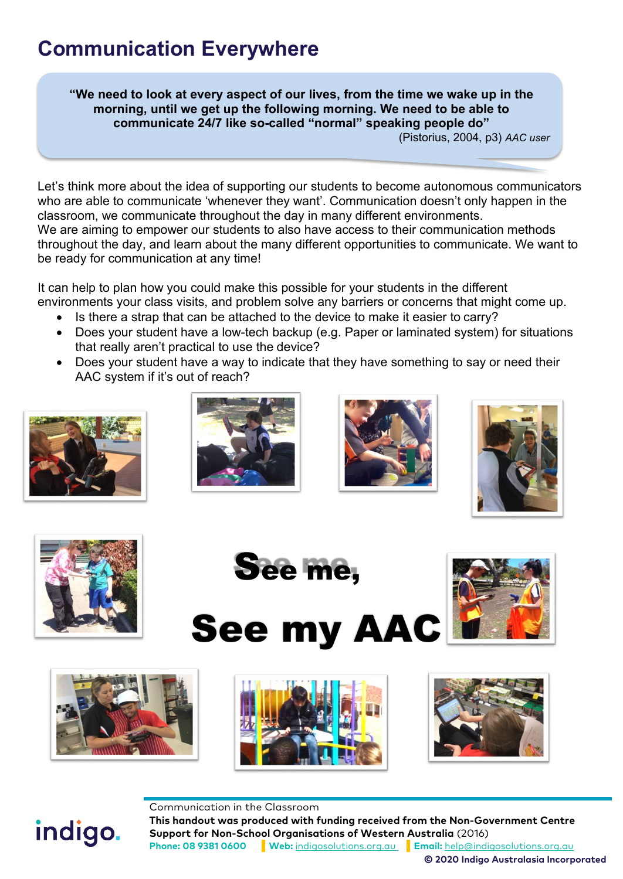## **Communication Everywhere**

**"We need to look at every aspect of our lives, from the time we wake up in the morning, until we get up the following morning. We need to be able to communicate 24/7 like so-called "normal" speaking people do"**

(Pistorius, 2004, p3) *AAC user*

Let's think more about the idea of supporting our students to become autonomous communicators who are able to communicate 'whenever they want'. Communication doesn't only happen in the classroom, we communicate throughout the day in many different environments. We are aiming to empower our students to also have access to their communication methods throughout the day, and learn about the many different opportunities to communicate. We want to be ready for communication at any time!

It can help to plan how you could make this possible for your students in the different environments your class visits, and problem solve any barriers or concerns that might come up.

- Is there a strap that can be attached to the device to make it easier to carry?
- Does your student have a low-tech backup (e.g. Paper or laminated system) for situations that really aren't practical to use the device?
- Does your student have a way to indicate that they have something to say or need their AAC system if it's out of reach?











indigo.









#### Communication in the Classroom **This handout was produced with funding received from the Non-Government Centre Support for Non-School Organisations of Western Australia** (2016) **Phone: 08 9381 0600 Web:** [indigosolutions.org.au](https://www.indigosolutions.org.au/) **Email:** [help@indigosolutions.org.au](mailto:help@indigosolutions.org.au)

**© 2020 Indigo Australasia Incorporated**